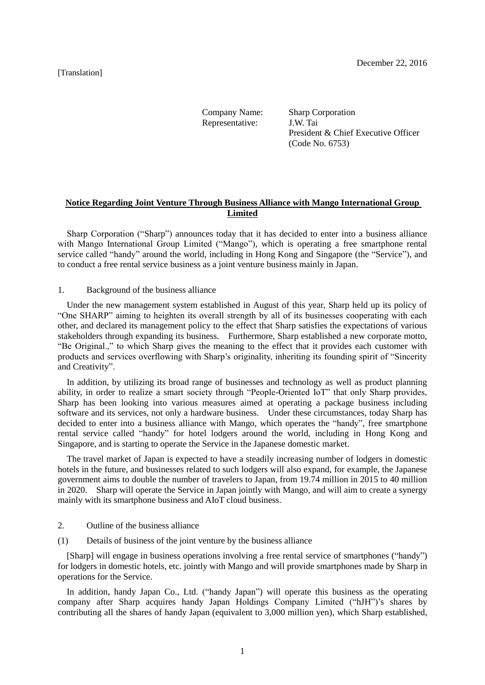[Translation]

Company Name: Sharp Corporation<br>Representative: J.W. Tai Representative: President & Chief Executive Officer (Code No. 6753)

# **Notice Regarding Joint Venture Through Business Alliance with Mango International Group Limited**

Sharp Corporation ("Sharp") announces today that it has decided to enter into a business alliance with Mango International Group Limited ("Mango"), which is operating a free smartphone rental service called "handy" around the world, including in Hong Kong and Singapore (the "Service"), and to conduct a free rental service business as a joint venture business mainly in Japan.

#### 1. Background of the business alliance

Under the new management system established in August of this year, Sharp held up its policy of "One SHARP" aiming to heighten its overall strength by all of its businesses cooperating with each other, and declared its management policy to the effect that Sharp satisfies the expectations of various stakeholders through expanding its business. Furthermore, Sharp established a new corporate motto, "Be Original.," to which Sharp gives the meaning to the effect that it provides each customer with products and services overflowing with Sharp's originality, inheriting its founding spirit of "Sincerity and Creativity".

In addition, by utilizing its broad range of businesses and technology as well as product planning ability, in order to realize a smart society through "People-Oriented IoT" that only Sharp provides, Sharp has been looking into various measures aimed at operating a package business including software and its services, not only a hardware business. Under these circumstances, today Sharp has decided to enter into a business alliance with Mango, which operates the "handy", free smartphone rental service called "handy" for hotel lodgers around the world, including in Hong Kong and Singapore, and is starting to operate the Service in the Japanese domestic market.

The travel market of Japan is expected to have a steadily increasing number of lodgers in domestic hotels in the future, and businesses related to such lodgers will also expand, for example, the Japanese government aims to double the number of travelers to Japan, from 19.74 million in 2015 to 40 million in 2020. Sharp will operate the Service in Japan jointly with Mango, and will aim to create a synergy mainly with its smartphone business and AIoT cloud business.

#### 2. Outline of the business alliance

(1) Details of business of the joint venture by the business alliance

[Sharp] will engage in business operations involving a free rental service of smartphones ("handy") for lodgers in domestic hotels, etc. jointly with Mango and will provide smartphones made by Sharp in operations for the Service.

In addition, handy Japan Co., Ltd. ("handy Japan") will operate this business as the operating company after Sharp acquires handy Japan Holdings Company Limited ("hJH")'s shares by contributing all the shares of handy Japan (equivalent to 3,000 million yen), which Sharp established,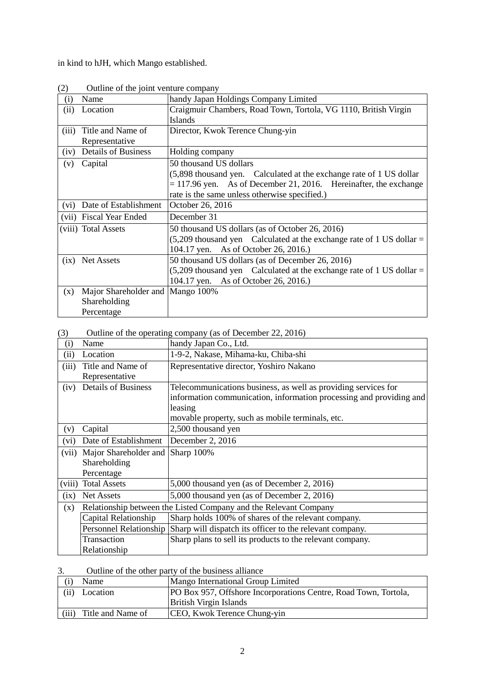in kind to hJH, which Mango established.

| $\sim$ |                                  |                                                                         |  |
|--------|----------------------------------|-------------------------------------------------------------------------|--|
| (i)    | Name                             | handy Japan Holdings Company Limited                                    |  |
| (ii)   | Location                         | Craigmuir Chambers, Road Town, Tortola, VG 1110, British Virgin         |  |
|        |                                  | Islands                                                                 |  |
| (iii)  | Title and Name of                | Director, Kwok Terence Chung-yin                                        |  |
|        | Representative                   |                                                                         |  |
| (iv)   | <b>Details of Business</b>       | Holding company                                                         |  |
| (v)    | Capital                          | 50 thousand US dollars                                                  |  |
|        |                                  | (5,898 thousand yen. Calculated at the exchange rate of 1 US dollar     |  |
|        |                                  | $= 117.96$ yen. As of December 21, 2016. Hereinafter, the exchange      |  |
|        |                                  | rate is the same unless otherwise specified.)                           |  |
| (vi)   | Date of Establishment            | October 26, 2016                                                        |  |
| (vii)  | <b>Fiscal Year Ended</b>         | December 31                                                             |  |
|        | (viii) Total Assets              | 50 thousand US dollars (as of October 26, 2016)                         |  |
|        |                                  | $(5,209)$ thousand yen Calculated at the exchange rate of 1 US dollar = |  |
|        |                                  | 104.17 yen. As of October 26, 2016.)                                    |  |
| (ix)   | Net Assets                       | 50 thousand US dollars (as of December 26, 2016)                        |  |
|        |                                  | $(5,209)$ thousand yen Calculated at the exchange rate of 1 US dollar = |  |
|        |                                  | 104.17 yen. As of October 26, 2016.)                                    |  |
| (x)    | Major Shareholder and Mango 100% |                                                                         |  |
|        | Shareholding                     |                                                                         |  |
|        | Percentage                       |                                                                         |  |

(2) Outline of the joint venture company

## (3) Outline of the operating company (as of December 22, 2016)

| (i)    | Name                                                             | handy Japan Co., Ltd.                                               |  |
|--------|------------------------------------------------------------------|---------------------------------------------------------------------|--|
| (ii)   | Location                                                         | 1-9-2, Nakase, Mihama-ku, Chiba-shi                                 |  |
| (iii)  | Title and Name of                                                | Representative director, Yoshiro Nakano                             |  |
|        | Representative                                                   |                                                                     |  |
| (iv)   | <b>Details of Business</b>                                       | Telecommunications business, as well as providing services for      |  |
|        |                                                                  | information communication, information processing and providing and |  |
|        |                                                                  | leasing                                                             |  |
|        |                                                                  | movable property, such as mobile terminals, etc.                    |  |
| (v)    | Capital                                                          | 2,500 thousand yen                                                  |  |
| (vi)   | Date of Establishment                                            | December 2, 2016                                                    |  |
| (vii)  | Major Shareholder and                                            | Sharp 100%                                                          |  |
|        | Shareholding                                                     |                                                                     |  |
|        | Percentage                                                       |                                                                     |  |
| (viii) | <b>Total Assets</b>                                              | 5,000 thousand yen (as of December 2, 2016)                         |  |
| (ix)   | Net Assets                                                       | 5,000 thousand yen (as of December 2, 2016)                         |  |
| (x)    | Relationship between the Listed Company and the Relevant Company |                                                                     |  |
|        | Capital Relationship                                             | Sharp holds 100% of shares of the relevant company.                 |  |
|        | <b>Personnel Relationship</b>                                    | Sharp will dispatch its officer to the relevant company.            |  |
|        | Transaction                                                      | Sharp plans to sell its products to the relevant company.           |  |
|        | Relationship                                                     |                                                                     |  |

3. Outline of the other party of the business alliance

| Name                       | Mango International Group Limited                               |  |
|----------------------------|-----------------------------------------------------------------|--|
| (ii)<br>Location           | PO Box 957, Offshore Incorporations Centre, Road Town, Tortola, |  |
|                            | <b>British Virgin Islands</b>                                   |  |
| (iii)<br>Title and Name of | CEO, Kwok Terence Chung-yin                                     |  |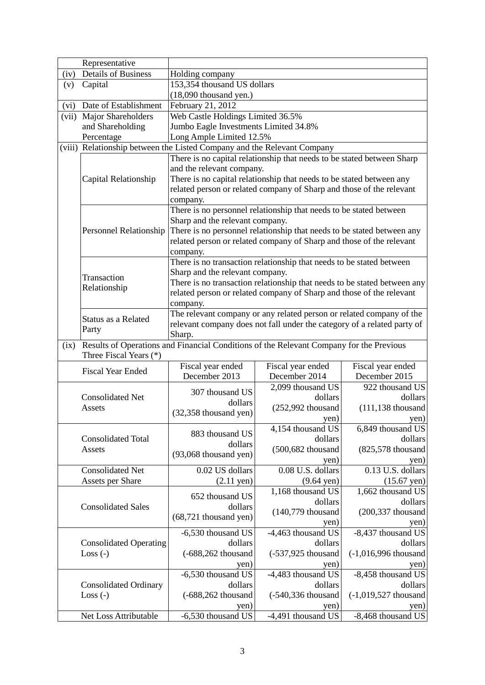|          | Representative                                                          |                                                                                                                                                                                                                                                     |                                                                         |                                                                      |  |
|----------|-------------------------------------------------------------------------|-----------------------------------------------------------------------------------------------------------------------------------------------------------------------------------------------------------------------------------------------------|-------------------------------------------------------------------------|----------------------------------------------------------------------|--|
| (iv)     | <b>Details of Business</b>                                              | Holding company                                                                                                                                                                                                                                     |                                                                         |                                                                      |  |
| (v)      | Capital                                                                 | 153,354 thousand US dollars                                                                                                                                                                                                                         |                                                                         |                                                                      |  |
|          |                                                                         | $(18,090)$ thousand yen.)                                                                                                                                                                                                                           |                                                                         |                                                                      |  |
| (vi)     | Date of Establishment                                                   | February 21, 2012                                                                                                                                                                                                                                   |                                                                         |                                                                      |  |
| (vii)    | Major Shareholders                                                      | Web Castle Holdings Limited 36.5%                                                                                                                                                                                                                   |                                                                         |                                                                      |  |
|          | and Shareholding                                                        |                                                                                                                                                                                                                                                     |                                                                         |                                                                      |  |
|          | Percentage                                                              | Jumbo Eagle Investments Limited 34.8%<br>Long Ample Limited 12.5%                                                                                                                                                                                   |                                                                         |                                                                      |  |
|          | (viii) Relationship between the Listed Company and the Relevant Company |                                                                                                                                                                                                                                                     |                                                                         |                                                                      |  |
|          |                                                                         |                                                                                                                                                                                                                                                     |                                                                         |                                                                      |  |
|          |                                                                         | There is no capital relationship that needs to be stated between Sharp<br>and the relevant company.<br>There is no capital relationship that needs to be stated between any<br>related person or related company of Sharp and those of the relevant |                                                                         |                                                                      |  |
|          | Capital Relationship                                                    |                                                                                                                                                                                                                                                     |                                                                         |                                                                      |  |
|          |                                                                         |                                                                                                                                                                                                                                                     |                                                                         |                                                                      |  |
|          |                                                                         |                                                                                                                                                                                                                                                     |                                                                         |                                                                      |  |
|          |                                                                         | company.                                                                                                                                                                                                                                            |                                                                         |                                                                      |  |
|          |                                                                         | There is no personnel relationship that needs to be stated between<br>Sharp and the relevant company.                                                                                                                                               |                                                                         |                                                                      |  |
|          |                                                                         |                                                                                                                                                                                                                                                     |                                                                         |                                                                      |  |
|          | Personnel Relationship                                                  |                                                                                                                                                                                                                                                     | There is no personnel relationship that needs to be stated between any  |                                                                      |  |
|          |                                                                         |                                                                                                                                                                                                                                                     | related person or related company of Sharp and those of the relevant    |                                                                      |  |
|          |                                                                         | company.                                                                                                                                                                                                                                            |                                                                         |                                                                      |  |
|          |                                                                         |                                                                                                                                                                                                                                                     | There is no transaction relationship that needs to be stated between    |                                                                      |  |
|          | Transaction                                                             | Sharp and the relevant company.                                                                                                                                                                                                                     |                                                                         |                                                                      |  |
|          | Relationship                                                            | There is no transaction relationship that needs to be stated between any                                                                                                                                                                            |                                                                         |                                                                      |  |
|          |                                                                         |                                                                                                                                                                                                                                                     |                                                                         | related person or related company of Sharp and those of the relevant |  |
| company. |                                                                         |                                                                                                                                                                                                                                                     |                                                                         |                                                                      |  |
|          | Status as a Related                                                     |                                                                                                                                                                                                                                                     | The relevant company or any related person or related company of the    |                                                                      |  |
|          | Party                                                                   |                                                                                                                                                                                                                                                     | relevant company does not fall under the category of a related party of |                                                                      |  |
| (ix)     | Three Fiscal Years (*)                                                  | Sharp.<br>Results of Operations and Financial Conditions of the Relevant Company for the Previous                                                                                                                                                   |                                                                         |                                                                      |  |
|          |                                                                         | Fiscal year ended                                                                                                                                                                                                                                   | Fiscal year ended                                                       | Fiscal year ended                                                    |  |
|          | <b>Fiscal Year Ended</b>                                                | December 2013                                                                                                                                                                                                                                       | December 2014                                                           | December 2015                                                        |  |
|          |                                                                         |                                                                                                                                                                                                                                                     | 2,099 thousand US                                                       | 922 thousand US                                                      |  |
|          | <b>Consolidated Net</b>                                                 | 307 thousand US                                                                                                                                                                                                                                     | dollars                                                                 | dollars                                                              |  |
|          | Assets                                                                  | dollars                                                                                                                                                                                                                                             | $(252,992)$ thousand                                                    | $(111, 138)$ thousand                                                |  |
|          |                                                                         | $(32,358)$ thousand yen)                                                                                                                                                                                                                            | yen)                                                                    | yen)                                                                 |  |
|          |                                                                         |                                                                                                                                                                                                                                                     | 4,154 thousand US                                                       | 6,849 thousand US                                                    |  |
|          | <b>Consolidated Total</b>                                               | 883 thousand US                                                                                                                                                                                                                                     | dollars                                                                 | dollars                                                              |  |
|          | Assets                                                                  | dollars                                                                                                                                                                                                                                             | (500,682 thousand                                                       | $(825,578)$ thousand                                                 |  |
|          |                                                                         | $(93,068)$ thousand yen)                                                                                                                                                                                                                            | yen)                                                                    | yen)                                                                 |  |
|          | <b>Consolidated Net</b>                                                 | 0.02 US dollars                                                                                                                                                                                                                                     | 0.08 U.S. dollars                                                       | 0.13 U.S. dollars                                                    |  |
|          | <b>Assets per Share</b>                                                 | $(2.11 \text{ yen})$                                                                                                                                                                                                                                | $(9.64 \text{ yen})$                                                    | $(15.67 \text{ yen})$                                                |  |
|          |                                                                         |                                                                                                                                                                                                                                                     | 1,168 thousand US                                                       | 1,662 thousand US                                                    |  |
|          |                                                                         | 652 thousand US                                                                                                                                                                                                                                     | dollars                                                                 | dollars                                                              |  |
|          | <b>Consolidated Sales</b>                                               | dollars                                                                                                                                                                                                                                             | $(140,779)$ thousand                                                    | $(200, 337)$ thousand                                                |  |
|          |                                                                         | $(68,721)$ thousand yen)                                                                                                                                                                                                                            |                                                                         |                                                                      |  |
|          |                                                                         |                                                                                                                                                                                                                                                     | yen)                                                                    | yen)                                                                 |  |
|          |                                                                         | -6,530 thousand US                                                                                                                                                                                                                                  | -4,463 thousand US                                                      | -8,437 thousand US                                                   |  |
|          | <b>Consolidated Operating</b>                                           | dollars                                                                                                                                                                                                                                             | dollars                                                                 | dollars                                                              |  |
|          | $Loss (-)$                                                              | $(-688, 262)$ thousand                                                                                                                                                                                                                              | $(-537,925$ thousand                                                    | $(-1,016,996)$ thousand                                              |  |
|          |                                                                         | yen)                                                                                                                                                                                                                                                | yen)                                                                    | yen)                                                                 |  |
|          |                                                                         | -6,530 thousand US                                                                                                                                                                                                                                  | -4,483 thousand US                                                      | -8,458 thousand US                                                   |  |
|          | <b>Consolidated Ordinary</b>                                            | dollars                                                                                                                                                                                                                                             | dollars                                                                 | dollars                                                              |  |
|          | $Loss (-)$                                                              | $(-688,262)$ thousand                                                                                                                                                                                                                               | (-540,336 thousand                                                      | $(-1,019,527)$ thousand                                              |  |
|          |                                                                         | yen)                                                                                                                                                                                                                                                | yen)                                                                    | yen)                                                                 |  |
|          | Net Loss Attributable                                                   | -6,530 thousand US                                                                                                                                                                                                                                  | -4,491 thousand US                                                      | -8,468 thousand US                                                   |  |